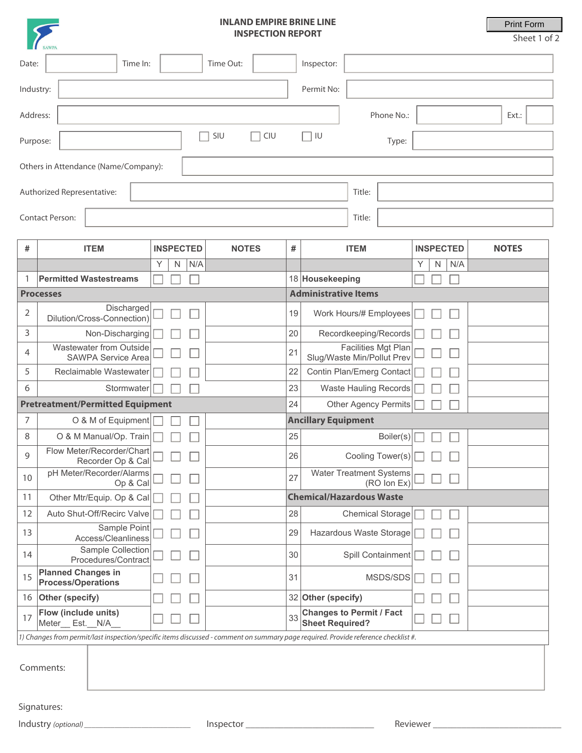|                |                                                        |   |                  |     | <b>INLAND EMPIRE BRINE LINE</b><br><b>INSPECTION REPORT</b> |      |                                                                                                                                    |   |   |                  |              | <b>Print Form</b><br>Sheet 1 of 2 |
|----------------|--------------------------------------------------------|---|------------------|-----|-------------------------------------------------------------|------|------------------------------------------------------------------------------------------------------------------------------------|---|---|------------------|--------------|-----------------------------------|
| Date:          | Time In:                                               |   |                  |     | Time Out:                                                   |      | Inspector:                                                                                                                         |   |   |                  |              |                                   |
| Industry:      |                                                        |   |                  |     |                                                             |      | Permit No:                                                                                                                         |   |   |                  |              |                                   |
| Address:       |                                                        |   |                  |     |                                                             |      | Phone No.:                                                                                                                         |   |   |                  |              | Ext.:                             |
| Purpose:       |                                                        |   |                  |     | CIU<br>SIU                                                  |      | IU<br>Type:                                                                                                                        |   |   |                  |              |                                   |
|                | Others in Attendance (Name/Company):                   |   |                  |     |                                                             |      |                                                                                                                                    |   |   |                  |              |                                   |
|                | Authorized Representative:                             |   |                  |     |                                                             |      | Title:                                                                                                                             |   |   |                  |              |                                   |
|                | <b>Contact Person:</b>                                 |   |                  |     |                                                             |      | Title:                                                                                                                             |   |   |                  |              |                                   |
| #              | <b>ITEM</b>                                            |   | <b>INSPECTED</b> |     | <b>NOTES</b>                                                | $\#$ | <b>ITEM</b>                                                                                                                        |   |   | <b>INSPECTED</b> | <b>NOTES</b> |                                   |
|                |                                                        | Y | $\mathsf{N}$     | N/A |                                                             |      |                                                                                                                                    | Υ | N | N/A              |              |                                   |
| 1              | <b>Permitted Wastestreams</b>                          |   |                  |     |                                                             |      | 18 Housekeeping                                                                                                                    |   |   |                  |              |                                   |
|                | <b>Processes</b>                                       |   |                  |     |                                                             |      | <b>Administrative Items</b>                                                                                                        |   |   |                  |              |                                   |
| $\overline{2}$ | Discharged<br>Dilution/Cross-Connection)               |   |                  |     |                                                             | 19   | Work Hours/# Employees                                                                                                             |   |   |                  |              |                                   |
| 3              | Non-Discharging                                        |   |                  |     |                                                             | 20   | Recordkeeping/Records                                                                                                              |   |   |                  |              |                                   |
| 4              | Wastewater from Outside<br><b>SAWPA Service Area</b>   |   |                  |     |                                                             | 21   | Facilities Mgt Plan<br>Slug/Waste Min/Pollut Prev                                                                                  |   |   |                  |              |                                   |
| 5              | Reclaimable Wastewater                                 |   |                  |     |                                                             | 22   | Contin Plan/Emerg Contact                                                                                                          |   |   |                  |              |                                   |
| 6              | Stormwater                                             |   |                  |     |                                                             | 23   | Waste Hauling Records                                                                                                              |   |   |                  |              |                                   |
|                | <b>Pretreatment/Permitted Equipment</b>                |   |                  |     |                                                             | 24   | Other Agency Permits                                                                                                               |   |   |                  |              |                                   |
| 7              | O & M of Equipment                                     |   |                  |     |                                                             |      | <b>Ancillary Equipment</b>                                                                                                         |   |   |                  |              |                                   |
| 8              | O & M Manual/Op. Train                                 |   |                  |     |                                                             | 25   | Boiler(s)                                                                                                                          |   |   |                  |              |                                   |
| 9              | Flow Meter/Recorder/Chart<br>Recorder Op & Cal         |   |                  |     |                                                             | 26   | Cooling Tower(s)                                                                                                                   |   |   |                  |              |                                   |
| 10             | pH Meter/Recorder/Alarms<br>Op & Cal                   |   |                  |     |                                                             | 27   | <b>Water Treatment Systems</b><br>(RO Ion Ex)                                                                                      |   |   |                  |              |                                   |
| 11             | Other Mtr/Equip. Op & Cal                              |   |                  |     |                                                             |      | <b>Chemical/Hazardous Waste</b>                                                                                                    |   |   |                  |              |                                   |
| 12             | Auto Shut-Off/Recirc Valve                             |   |                  |     |                                                             | 28   | <b>Chemical Storage</b>                                                                                                            |   |   |                  |              |                                   |
| 13             | Sample Point<br>Access/Cleanliness                     |   |                  |     |                                                             | 29   | Hazardous Waste Storage                                                                                                            |   |   |                  |              |                                   |
| 14             | Sample Collection<br>Procedures/Contract               |   |                  |     |                                                             | 30   | Spill Containment                                                                                                                  |   |   |                  |              |                                   |
| 15             | <b>Planned Changes in</b><br><b>Process/Operations</b> |   |                  |     |                                                             | 31   | MSDS/SDS                                                                                                                           |   |   |                  |              |                                   |
| 16             | Other (specify)                                        |   |                  |     |                                                             |      | 32 Other (specify)                                                                                                                 |   |   |                  |              |                                   |
| 17             | Flow (include units)<br>Meter_Est._N/A_                |   |                  |     |                                                             | 33   | <b>Changes to Permit / Fact</b><br>Sheet Required?                                                                                 |   |   |                  |              |                                   |
|                |                                                        |   |                  |     |                                                             |      | 1) Changes from permit/last inspection/specific items discussed - comment on summary page required. Provide reference checklist #. |   |   |                  |              |                                   |
|                | Comments:                                              |   |                  |     |                                                             |      |                                                                                                                                    |   |   |                  |              |                                   |
|                | Signatures:                                            |   |                  |     |                                                             |      |                                                                                                                                    |   |   |                  |              |                                   |

Industry (optional) \_\_\_\_\_\_\_\_\_\_\_\_\_\_\_\_\_\_\_\_\_\_\_\_\_\_\_\_ Inspector \_\_\_\_\_\_\_\_\_\_\_\_\_\_\_\_\_\_\_\_\_\_\_\_\_\_\_